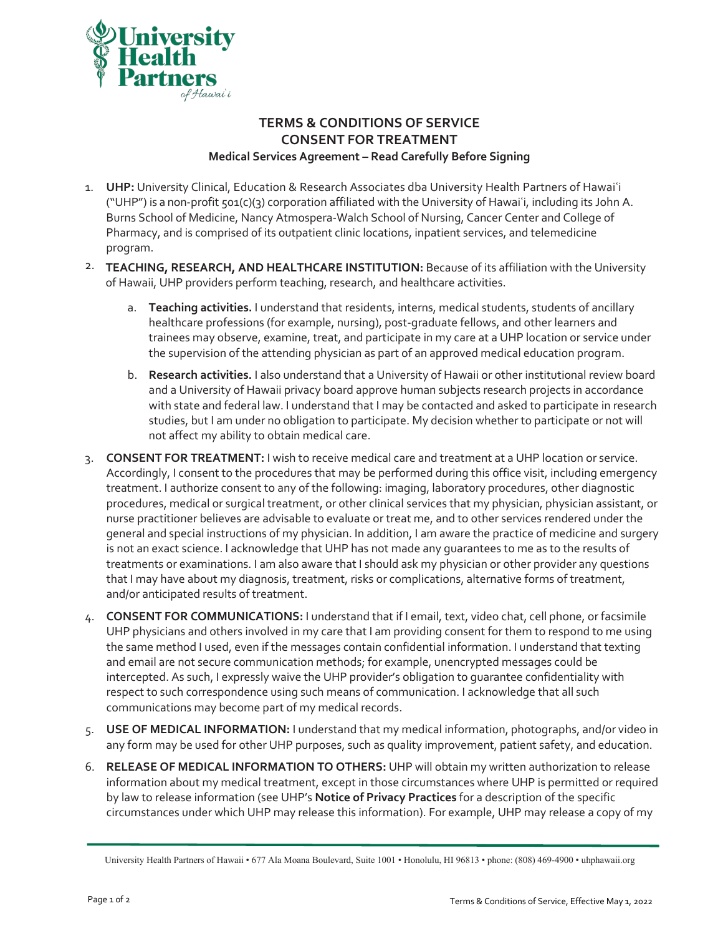

## **TERMS & CONDITIONS OF SERVICE CONSENT FOR TREATMENT Medical Services Agreement – Read Carefully Before Signing**

- 1. **UHP:** University Clinical, Education & Research Associates dba University Health Partners of Hawaiʿi ("UHP") is a non-profit 501(c)(3) corporation affiliated with the University of Hawaiʿi, including its John A. Burns School of Medicine, Nancy Atmospera-Walch School of Nursing, Cancer Center and College of Pharmacy, and is comprised of its outpatient clinic locations, inpatient services, and telemedicine program.
- 2. **TEACHING, RESEARCH, AND HEALTHCARE INSTITUTION:** Because of its affiliation with the University of Hawaii, UHP providers perform teaching, research, and healthcare activities.
	- a. **Teaching activities.** I understand that residents, interns, medical students, students of ancillary healthcare professions (for example, nursing), post-graduate fellows, and other learners and trainees may observe, examine, treat, and participate in my care at a UHP location or service under the supervision of the attending physician as part of an approved medical education program.
	- b. **Research activities.** I also understand that a University of Hawaii or other institutional review board and a University of Hawaii privacy board approve human subjects research projects in accordance with state and federal law. I understand that I may be contacted and asked to participate in research studies, but I am under no obligation to participate. My decision whether to participate or not will not affect my ability to obtain medical care.
- 3. **CONSENT FOR TREATMENT:** I wish to receive medical care and treatment at a UHP location or service. Accordingly, I consent to the procedures that may be performed during this office visit, including emergency treatment. I authorize consent to any of the following: imaging, laboratory procedures, other diagnostic procedures, medical or surgical treatment, or other clinical services that my physician, physician assistant, or nurse practitioner believes are advisable to evaluate or treat me, and to other services rendered under the general and special instructions of my physician. In addition, I am aware the practice of medicine and surgery is not an exact science. I acknowledge that UHP has not made any guarantees to me as to the results of treatments or examinations. I am also aware that I should ask my physician or other provider any questions that I may have about my diagnosis, treatment, risks or complications, alternative forms of treatment, and/or anticipated results of treatment.
- 4. **CONSENT FOR COMMUNICATIONS:** I understand that if I email, text, video chat, cell phone, or facsimile UHP physicians and others involved in my care that I am providing consent for them to respond to me using the same method I used, even if the messages contain confidential information. I understand that texting and email are not secure communication methods; for example, unencrypted messages could be intercepted. As such, I expressly waive the UHP provider's obligation to guarantee confidentiality with respect to such correspondence using such means of communication. I acknowledge that all such communications may become part of my medical records.
- 5. **USE OF MEDICAL INFORMATION:** I understand that my medical information, photographs, and/or video in any form may be used for other UHP purposes, such as quality improvement, patient safety, and education.
- 6. **RELEASE OF MEDICAL INFORMATION TO OTHERS:** UHP will obtain my written authorization to release information about my medical treatment, except in those circumstances where UHP is permitted or required by law to release information (see UHP's **Notice of Privacy Practices** for a description of the specific circumstances under which UHP may release this information). For example, UHP may release a copy of my

University Health Partners of Hawaii • 677 Ala Moana Boulevard, Suite 1001 • Honolulu, HI 96813 • phone: (808) 469-4900 • uhphawaii.org